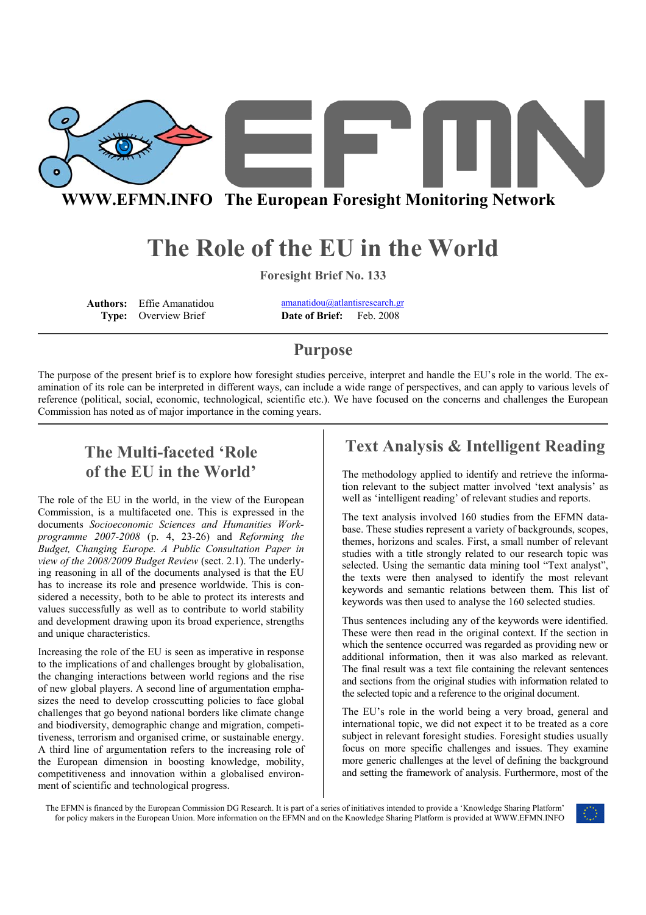

**WWW.EFMN.INFO The European Foresight Monitoring Network**

# **The Role of the EU in the World**

**Foresight Brief No. 133**

**Authors:** Effie Amanatidou **amanatidou@atlantisresearch.gr**<br> **Type:** Overview Brief **Date of Brief:** Feb. 2008 **Type:** Overview Brief **Date of Brief:** 

### **Purpose**

The purpose of the present brief is to explore how foresight studies perceive, interpret and handle the EU's role in the world. The examination of its role can be interpreted in different ways, can include a wide range of perspectives, and can apply to various levels of reference (political, social, economic, technological, scientific etc.). We have focused on the concerns and challenges the European Commission has noted as of major importance in the coming years.

# **The Multi-faceted 'Role of the EU in the World'**

The role of the EU in the world, in the view of the European Commission, is a multifaceted one. This is expressed in the documents *Socioeconomic Sciences and Humanities Workprogramme 2007-2008* (p. 4, 23-26) and *Reforming the Budget, Changing Europe. A Public Consultation Paper in view of the 2008/2009 Budget Review* (sect. 2.1). The underlying reasoning in all of the documents analysed is that the EU has to increase its role and presence worldwide. This is considered a necessity, both to be able to protect its interests and values successfully as well as to contribute to world stability and development drawing upon its broad experience, strengths and unique characteristics.

Increasing the role of the EU is seen as imperative in response to the implications of and challenges brought by globalisation, the changing interactions between world regions and the rise of new global players. A second line of argumentation emphasizes the need to develop crosscutting policies to face global challenges that go beyond national borders like climate change and biodiversity, demographic change and migration, competitiveness, terrorism and organised crime, or sustainable energy. A third line of argumentation refers to the increasing role of the European dimension in boosting knowledge, mobility, competitiveness and innovation within a globalised environment of scientific and technological progress.

## **Text Analysis & Intelligent Reading**

The methodology applied to identify and retrieve the information relevant to the subject matter involved 'text analysis' as well as 'intelligent reading' of relevant studies and reports.

The text analysis involved 160 studies from the EFMN database. These studies represent a variety of backgrounds, scopes, themes, horizons and scales. First, a small number of relevant studies with a title strongly related to our research topic was selected. Using the semantic data mining tool "Text analyst", the texts were then analysed to identify the most relevant keywords and semantic relations between them. This list of keywords was then used to analyse the 160 selected studies.

Thus sentences including any of the keywords were identified. These were then read in the original context. If the section in which the sentence occurred was regarded as providing new or additional information, then it was also marked as relevant. The final result was a text file containing the relevant sentences and sections from the original studies with information related to the selected topic and a reference to the original document.

The EU's role in the world being a very broad, general and international topic, we did not expect it to be treated as a core subject in relevant foresight studies. Foresight studies usually focus on more specific challenges and issues. They examine more generic challenges at the level of defining the background and setting the framework of analysis. Furthermore, most of the

The EFMN is financed by the European Commission DG Research. It is part of a series of initiatives intended to provide a 'Knowledge Sharing Platform' for policy makers in the European Union. More information on the EFMN and on the Knowledge Sharing Platform is provided at WWW.EFMN.INFO

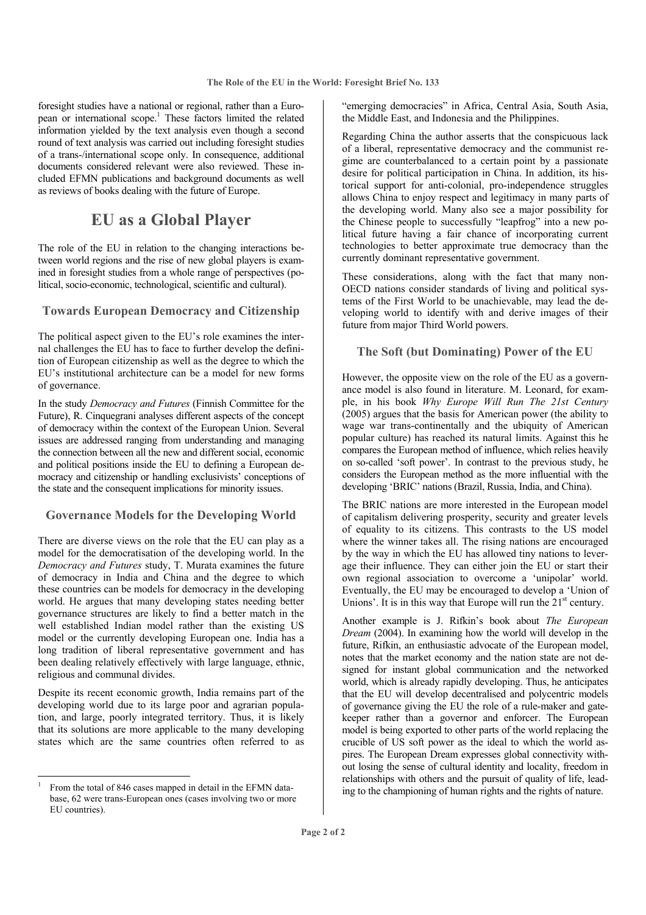foresight studies have a national or regional, rather than a European or international scope.<sup>1</sup> These factors limited the related information yielded by the text analysis even though a second round of text analysis was carried out including foresight studies of a trans-/international scope only. In consequence, additional documents considered relevant were also reviewed. These included EFMN publications and background documents as well as reviews of books dealing with the future of Europe.

### **EU as a Global Player**

The role of the EU in relation to the changing interactions between world regions and the rise of new global players is examined in foresight studies from a whole range of perspectives (political, socio-economic, technological, scientific and cultural).

#### **Towards European Democracy and Citizenship**

The political aspect given to the EU's role examines the internal challenges the EU has to face to further develop the definition of European citizenship as well as the degree to which the EU's institutional architecture can be a model for new forms of governance.

In the study *Democracy and Futures* (Finnish Committee for the Future), R. Cinquegrani analyses different aspects of the concept of democracy within the context of the European Union. Several issues are addressed ranging from understanding and managing the connection between all the new and different social, economic and political positions inside the EU to defining a European democracy and citizenship or handling exclusivists' conceptions of the state and the consequent implications for minority issues.

#### **Governance Models for the Developing World**

There are diverse views on the role that the EU can play as a model for the democratisation of the developing world. In the *Democracy and Futures* study, T. Murata examines the future of democracy in India and China and the degree to which these countries can be models for democracy in the developing world. He argues that many developing states needing better governance structures are likely to find a better match in the well established Indian model rather than the existing US model or the currently developing European one. India has a long tradition of liberal representative government and has been dealing relatively effectively with large language, ethnic, religious and communal divides.

Despite its recent economic growth, India remains part of the developing world due to its large poor and agrarian population, and large, poorly integrated territory. Thus, it is likely that its solutions are more applicable to the many developing states which are the same countries often referred to as

l

"emerging democracies" in Africa, Central Asia, South Asia, the Middle East, and Indonesia and the Philippines.

Regarding China the author asserts that the conspicuous lack of a liberal, representative democracy and the communist regime are counterbalanced to a certain point by a passionate desire for political participation in China. In addition, its historical support for anti-colonial, pro-independence struggles allows China to enjoy respect and legitimacy in many parts of the developing world. Many also see a major possibility for the Chinese people to successfully "leapfrog" into a new political future having a fair chance of incorporating current technologies to better approximate true democracy than the currently dominant representative government.

These considerations, along with the fact that many non-OECD nations consider standards of living and political systems of the First World to be unachievable, may lead the developing world to identify with and derive images of their future from major Third World powers.

#### **The Soft (but Dominating) Power of the EU**

However, the opposite view on the role of the EU as a governance model is also found in literature. M. Leonard, for example, in his book *Why Europe Will Run The 21st Century* (2005) argues that the basis for American power (the ability to wage war trans-continentally and the ubiquity of American popular culture) has reached its natural limits. Against this he compares the European method of influence, which relies heavily on so-called 'soft power'. In contrast to the previous study, he considers the European method as the more influential with the developing 'BRIC' nations (Brazil, Russia, India, and China).

The BRIC nations are more interested in the European model of capitalism delivering prosperity, security and greater levels of equality to its citizens. This contrasts to the US model where the winner takes all. The rising nations are encouraged by the way in which the EU has allowed tiny nations to leverage their influence. They can either join the EU or start their own regional association to overcome a 'unipolar' world. Eventually, the EU may be encouraged to develop a 'Union of Unions'. It is in this way that Europe will run the  $21<sup>st</sup>$  century.

Another example is J. Rifkin's book about *The European Dream* (2004). In examining how the world will develop in the future, Rifkin, an enthusiastic advocate of the European model, notes that the market economy and the nation state are not designed for instant global communication and the networked world, which is already rapidly developing. Thus, he anticipates that the EU will develop decentralised and polycentric models of governance giving the EU the role of a rule-maker and gatekeeper rather than a governor and enforcer. The European model is being exported to other parts of the world replacing the crucible of US soft power as the ideal to which the world aspires. The European Dream expresses global connectivity without losing the sense of cultural identity and locality, freedom in relationships with others and the pursuit of quality of life, leading to the championing of human rights and the rights of nature.

<sup>1</sup> From the total of 846 cases mapped in detail in the EFMN database, 62 were trans-European ones (cases involving two or more EU countries).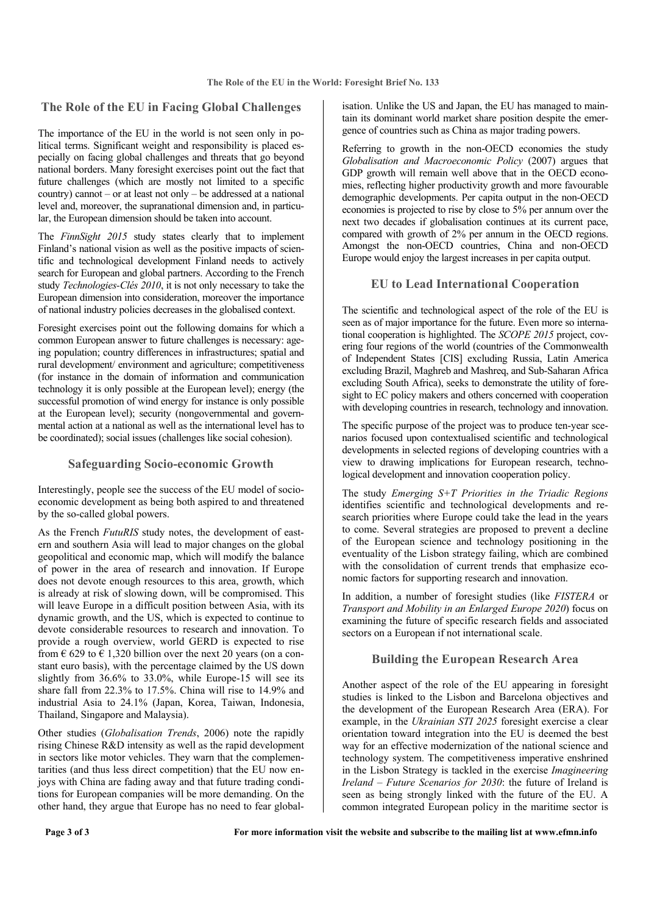#### **The Role of the EU in Facing Global Challenges**

The importance of the EU in the world is not seen only in political terms. Significant weight and responsibility is placed especially on facing global challenges and threats that go beyond national borders. Many foresight exercises point out the fact that future challenges (which are mostly not limited to a specific country) cannot – or at least not only – be addressed at a national level and, moreover, the supranational dimension and, in particular, the European dimension should be taken into account.

The *FinnSight 2015* study states clearly that to implement Finland's national vision as well as the positive impacts of scientific and technological development Finland needs to actively search for European and global partners. According to the French study *Technologies-Clés 2010*, it is not only necessary to take the European dimension into consideration, moreover the importance of national industry policies decreases in the globalised context.

Foresight exercises point out the following domains for which a common European answer to future challenges is necessary: ageing population; country differences in infrastructures; spatial and rural development/ environment and agriculture; competitiveness (for instance in the domain of information and communication technology it is only possible at the European level); energy (the successful promotion of wind energy for instance is only possible at the European level); security (nongovernmental and governmental action at a national as well as the international level has to be coordinated); social issues (challenges like social cohesion).

#### **Safeguarding Socio-economic Growth**

Interestingly, people see the success of the EU model of socioeconomic development as being both aspired to and threatened by the so-called global powers.

As the French *FutuRIS* study notes, the development of eastern and southern Asia will lead to major changes on the global geopolitical and economic map, which will modify the balance of power in the area of research and innovation. If Europe does not devote enough resources to this area, growth, which is already at risk of slowing down, will be compromised. This will leave Europe in a difficult position between Asia, with its dynamic growth, and the US, which is expected to continue to devote considerable resources to research and innovation. To provide a rough overview, world GERD is expected to rise from  $\epsilon$  629 to  $\epsilon$  1,320 billion over the next 20 years (on a constant euro basis), with the percentage claimed by the US down slightly from 36.6% to 33.0%, while Europe-15 will see its share fall from 22.3% to 17.5%. China will rise to 14.9% and industrial Asia to 24.1% (Japan, Korea, Taiwan, Indonesia, Thailand, Singapore and Malaysia).

Other studies (*Globalisation Trends*, 2006) note the rapidly rising Chinese R&D intensity as well as the rapid development in sectors like motor vehicles. They warn that the complementarities (and thus less direct competition) that the EU now enjoys with China are fading away and that future trading conditions for European companies will be more demanding. On the other hand, they argue that Europe has no need to fear global-

isation. Unlike the US and Japan, the EU has managed to maintain its dominant world market share position despite the emergence of countries such as China as major trading powers.

Referring to growth in the non-OECD economies the study *Globalisation and Macroeconomic Policy* (2007) argues that GDP growth will remain well above that in the OECD economies, reflecting higher productivity growth and more favourable demographic developments. Per capita output in the non-OECD economies is projected to rise by close to 5% per annum over the next two decades if globalisation continues at its current pace, compared with growth of 2% per annum in the OECD regions. Amongst the non-OECD countries, China and non-OECD Europe would enjoy the largest increases in per capita output.

#### **EU to Lead International Cooperation**

The scientific and technological aspect of the role of the EU is seen as of major importance for the future. Even more so international cooperation is highlighted. The *SCOPE 2015* project, covering four regions of the world (countries of the Commonwealth of Independent States [CIS] excluding Russia, Latin America excluding Brazil, Maghreb and Mashreq, and Sub-Saharan Africa excluding South Africa), seeks to demonstrate the utility of foresight to EC policy makers and others concerned with cooperation with developing countries in research, technology and innovation.

The specific purpose of the project was to produce ten-year scenarios focused upon contextualised scientific and technological developments in selected regions of developing countries with a view to drawing implications for European research, technological development and innovation cooperation policy.

The study *Emerging S+T Priorities in the Triadic Regions* identifies scientific and technological developments and research priorities where Europe could take the lead in the years to come. Several strategies are proposed to prevent a decline of the European science and technology positioning in the eventuality of the Lisbon strategy failing, which are combined with the consolidation of current trends that emphasize economic factors for supporting research and innovation.

In addition, a number of foresight studies (like *FISTERA* or *Transport and Mobility in an Enlarged Europe 2020*) focus on examining the future of specific research fields and associated sectors on a European if not international scale.

#### **Building the European Research Area**

Another aspect of the role of the EU appearing in foresight studies is linked to the Lisbon and Barcelona objectives and the development of the European Research Area (ERA). For example, in the *Ukrainian STI 2025* foresight exercise a clear orientation toward integration into the EU is deemed the best way for an effective modernization of the national science and technology system. The competitiveness imperative enshrined in the Lisbon Strategy is tackled in the exercise *Imagineering Ireland – Future Scenarios for 2030*: the future of Ireland is seen as being strongly linked with the future of the EU. A common integrated European policy in the maritime sector is